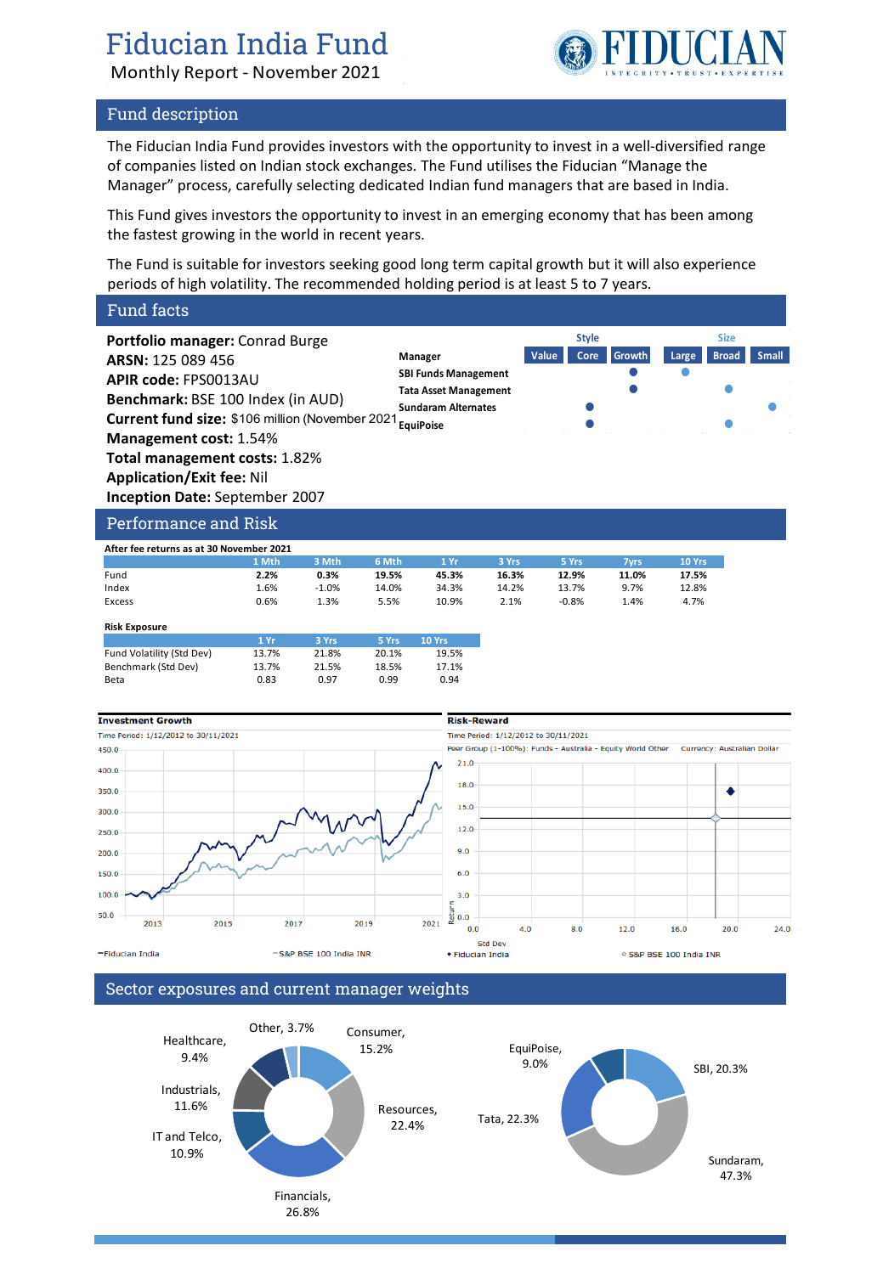# Fiducian India Fund

Monthly Report - November 2021



**Style Size**

### Fund description

The Fiducian India Fund provides investors with the opportunity to invest in a well-diversified range of companies listed on Indian stock exchanges. The Fund utilises the Fiducian "Manage the Manager" process, carefully selecting dedicated Indian fund managers that are based in India.

This Fund gives investors the opportunity to invest in an emerging economy that has been among the fastest growing in the world in recent years.

The Fund is suitable for investors seeking good long term capital growth but it will also experience periods of high volatility. The recommended holding period is at least 5 to 7 years.

### Fund facts

**Portfolio manager:** Conrad Burge **ARSN:** 125 089 456 **APIR code:** FPS0013AU **Benchmark:** BSE 100 Index (in AUD) **Current fund size:** \$106 million (November 2021 <sub>Equi</sub>poise **Carries 10 Communist Carries Communist Carries Communist Communist Communist Communist Communist Communist Communist Communist Communist Communist Communist Com Management cost:** 1.54% **Total management costs:** 1.82% **Application/Exit fee:** Nil **Inception Date:** September 2007 **Manager Value Core Growth Large Broad Small SBI Funds Management Tata Asset Management Sundaram Alternates**

# Performance and Risk

| After fee returns as at 30 November 2021 |       |         |       |       |       |         |       |        |  |
|------------------------------------------|-------|---------|-------|-------|-------|---------|-------|--------|--|
|                                          | 1 Mth | 3 Mth   | 6 Mth | 1 Yr  | 3 Yrs | 5 Yrs   | 7vrs  | 10 Yrs |  |
| Fund                                     | 2.2%  | 0.3%    | 19.5% | 45.3% | 16.3% | 12.9%   | 11.0% | 17.5%  |  |
| Index                                    | 1.6%  | $-1.0%$ | 14.0% | 34.3% | 14.2% | 13.7%   | 9.7%  | 12.8%  |  |
| Excess                                   | 0.6%  | 1.3%    | 5.5%  | 10.9% | 2.1%  | $-0.8%$ | 1.4%  | 4.7%   |  |
| <b>Risk Exposure</b>                     |       |         |       |       |       |         |       |        |  |

| .                         |       |       |       |               |
|---------------------------|-------|-------|-------|---------------|
|                           | 1 Yr  | 3 Yrs | 5 Yrs | <b>10 Yrs</b> |
| Fund Volatility (Std Dev) | 13.7% | 21.8% | 20.1% | 19.5%         |
| Benchmark (Std Dev)       | 13.7% | 21.5% | 18.5% | 17.1%         |
| Beta                      | 0.83  | 0.97  | 0.99  | 0.94          |
|                           |       |       |       |               |



## Sector exposures and current manager weights